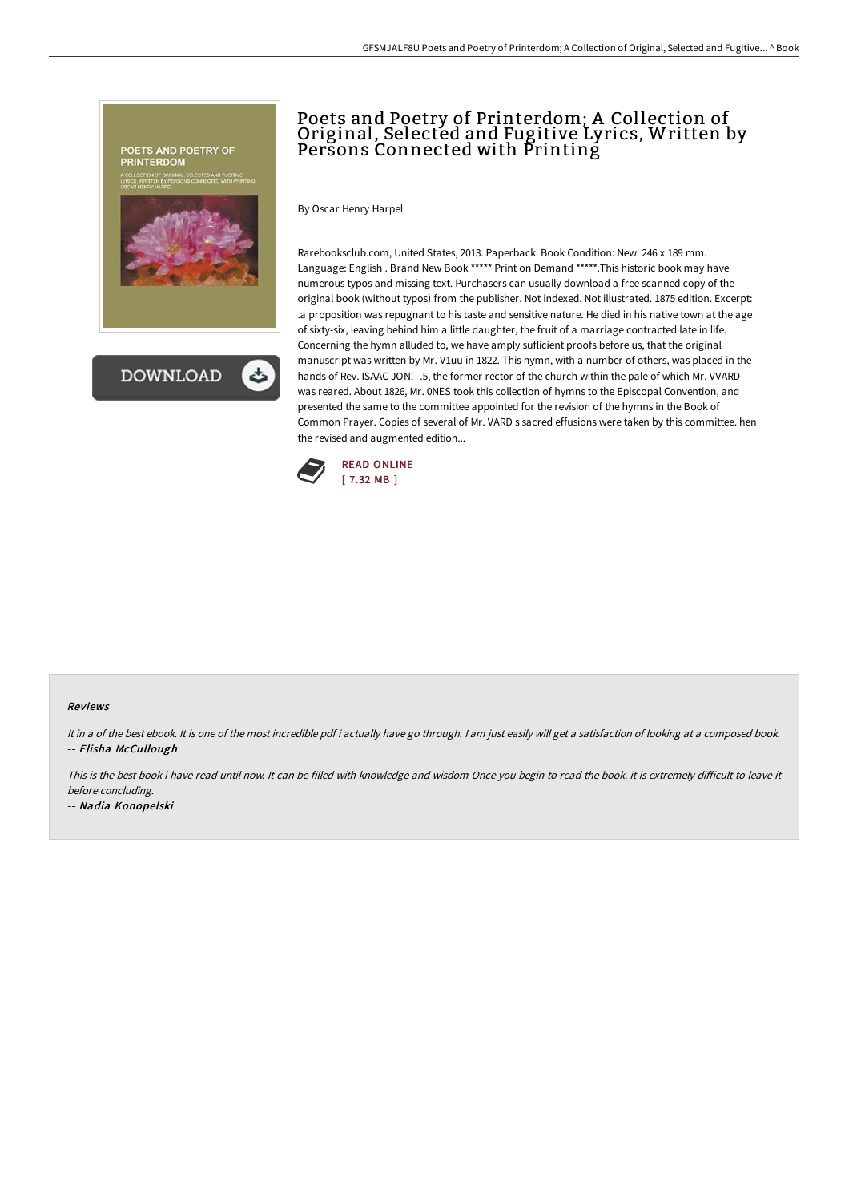

# Poets and Poetry of Printerdom; A Collection of Original, Selected and Fugitive Lyrics, Written by Persons Connected with Printing

By Oscar Henry Harpel

Rarebooksclub.com, United States, 2013. Paperback. Book Condition: New. 246 x 189 mm. Language: English . Brand New Book \*\*\*\*\* Print on Demand \*\*\*\*\*.This historic book may have numerous typos and missing text. Purchasers can usually download a free scanned copy of the original book (without typos) from the publisher. Not indexed. Not illustrated. 1875 edition. Excerpt: .a proposition was repugnant to his taste and sensitive nature. He died in his native town at the age of sixty-six, leaving behind him a little daughter, the fruit of a marriage contracted late in life. Concerning the hymn alluded to, we have amply suflicient proofs before us, that the original manuscript was written by Mr. V1uu in 1822. This hymn, with a number of others, was placed in the hands of Rev. ISAAC JON!- .5, the former rector of the church within the pale of which Mr. VVARD was reared. About 1826, Mr. 0NES took this collection of hymns to the Episcopal Convention, and presented the same to the committee appointed for the revision of the hymns in the Book of Common Prayer. Copies of several of Mr. VARD s sacred effusions were taken by this committee. hen the revised and augmented edition...



#### Reviews

It in a of the best ebook. It is one of the most incredible pdf i actually have go through. I am just easily will get a satisfaction of looking at a composed book. -- Elisha McCullough

This is the best book i have read until now. It can be filled with knowledge and wisdom Once you begin to read the book, it is extremely difficult to leave it before concluding.

-- Nadia Konopelski